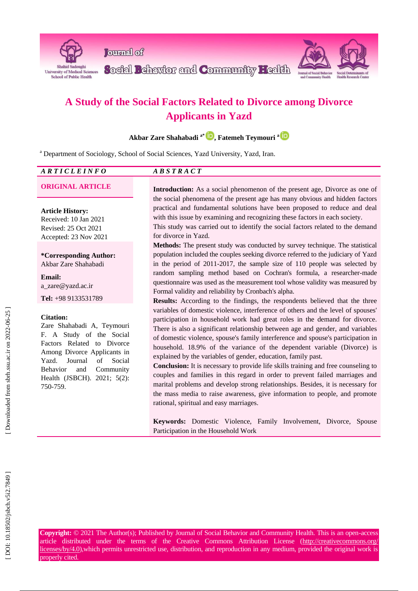

**Journal** of

Social Pehavior and Community Health



# **Applicants in Yazd**

| A Study of the Social Factors Related to Divorce among Divorce                                                                                                                                                                                                |                                                                                                                                                                                                                                                                                                                                                                                                                                                                                                                                                                                                                                                                                                                                                                                                                                                                    |  |  |  |  |  |
|---------------------------------------------------------------------------------------------------------------------------------------------------------------------------------------------------------------------------------------------------------------|--------------------------------------------------------------------------------------------------------------------------------------------------------------------------------------------------------------------------------------------------------------------------------------------------------------------------------------------------------------------------------------------------------------------------------------------------------------------------------------------------------------------------------------------------------------------------------------------------------------------------------------------------------------------------------------------------------------------------------------------------------------------------------------------------------------------------------------------------------------------|--|--|--|--|--|
| <b>Applicants in Yazd</b>                                                                                                                                                                                                                                     |                                                                                                                                                                                                                                                                                                                                                                                                                                                                                                                                                                                                                                                                                                                                                                                                                                                                    |  |  |  |  |  |
| Akbar Zare Shahabadi <sup>a*</sup> <sup>D</sup> , Fatemeh Teymouri <sup>aD</sup>                                                                                                                                                                              |                                                                                                                                                                                                                                                                                                                                                                                                                                                                                                                                                                                                                                                                                                                                                                                                                                                                    |  |  |  |  |  |
| <sup>a</sup> Department of Sociology, School of Social Sciences, Yazd University, Yazd, Iran.                                                                                                                                                                 |                                                                                                                                                                                                                                                                                                                                                                                                                                                                                                                                                                                                                                                                                                                                                                                                                                                                    |  |  |  |  |  |
| <b>ARTICLEINFO</b>                                                                                                                                                                                                                                            | ABSTRACT                                                                                                                                                                                                                                                                                                                                                                                                                                                                                                                                                                                                                                                                                                                                                                                                                                                           |  |  |  |  |  |
| <b>ORIGINAL ARTICLE</b>                                                                                                                                                                                                                                       | Introduction: As a social phenomenon of the present age, Divorce as one of<br>the social phenomena of the present age has many obvious and hidden factors                                                                                                                                                                                                                                                                                                                                                                                                                                                                                                                                                                                                                                                                                                          |  |  |  |  |  |
| <b>Article History:</b><br>Received: 10 Jan 2021<br>Revised: 25 Oct 2021<br>Accepted: 23 Nov 2021<br>*Corresponding Author:<br>Akbar Zare Shahabadi                                                                                                           | practical and fundamental solutions have been proposed to reduce and deal<br>with this issue by examining and recognizing these factors in each society.<br>This study was carried out to identify the social factors related to the demand<br>for divorce in Yazd.<br>Methods: The present study was conducted by survey technique. The statistical<br>population included the couples seeking divorce referred to the judiciary of Yazd<br>in the period of 2011-2017, the sample size of 110 people was selected by                                                                                                                                                                                                                                                                                                                                             |  |  |  |  |  |
| <b>Email:</b><br>a_zare@yazd.ac.ir                                                                                                                                                                                                                            | random sampling method based on Cochran's formula, a researcher-made<br>questionnaire was used as the measurement tool whose validity was measured by                                                                                                                                                                                                                                                                                                                                                                                                                                                                                                                                                                                                                                                                                                              |  |  |  |  |  |
| Tel: +98 9133531789                                                                                                                                                                                                                                           | Formal validity and reliability by Cronbach's alpha.<br>Results: According to the findings, the respondents believed that the three                                                                                                                                                                                                                                                                                                                                                                                                                                                                                                                                                                                                                                                                                                                                |  |  |  |  |  |
| <b>Citation:</b><br>Zare Shahabadi A, Teymouri<br>F. A Study of the Social<br>Factors Related to Divorce<br>Among Divorce Applicants in<br>of<br>Social<br>Yazd.<br>Journal<br>Community<br><b>Behavior</b><br>and<br>Health (JSBCH). 2021; 5(2):<br>750-759. | variables of domestic violence, interference of others and the level of spouses'<br>participation in household work had great roles in the demand for divorce.<br>There is also a significant relationship between age and gender, and variables<br>of domestic violence, spouse's family interference and spouse's participation in<br>household. 18.9% of the variance of the dependent variable (Divorce) is<br>explained by the variables of gender, education, family past.<br>Conclusion: It is necessary to provide life skills training and free counseling to<br>couples and families in this regard in order to prevent failed marriages and<br>marital problems and develop strong relationships. Besides, it is necessary for<br>the mass media to raise awareness, give information to people, and promote<br>rational, spiritual and easy marriages. |  |  |  |  |  |
|                                                                                                                                                                                                                                                               | Keywords: Domestic Violence, Family Involvement, Divorce, Spouse<br>Participation in the Household Work                                                                                                                                                                                                                                                                                                                                                                                                                                                                                                                                                                                                                                                                                                                                                            |  |  |  |  |  |
| properly cited.                                                                                                                                                                                                                                               | Copyright: © 2021 The Author(s); Published by Journal of Social Behavior and Community Health. This is an open-access<br>article distributed under the terms of the Creative Commons Attribution License (http://creativecommons.org/<br>licenses/by/4.0), which permits unrestricted use, distribution, and reproduction in any medium, provided the original work is                                                                                                                                                                                                                                                                                                                                                                                                                                                                                             |  |  |  |  |  |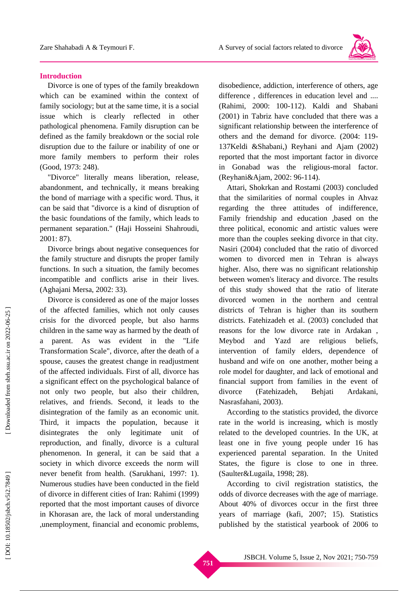

## **Introduction**

Divorce is one of types of the family breakdown which can be examined within the context of family sociology; but at the same time, it is a social issue which is clearly reflected in other pathological phenomena. Family disruption can be defined as the family breakdown or the social role disruption due to the failure or inability of one or more family members to perform their roles (Good, 1973: 248) .

"Divorce" literally means liberation, release, abandonment , and technically , it means breaking the bond of marriage with a specific word. Thus, it can be said that "divorce is a kind of disruption of the basic foundations of the family, which leads to permanent separation." (Haji Hosseini Shahroudi, 2001: 87) .

Divorce brings about negative consequences for the family structure and disrupts the proper family functions. In such a situation, the family becomes incompatible and conflict s arise in their lives. (Aghajani Mersa, 2002: 33).

Divorce is considered as one of the major losses of the affected families, which not only causes crisis for the divorced people, but also harms children in the same way as harmed by the death of a parent. As was evident in the "Life Transformation Scale", divorce, after the death of a spouse, causes the greatest change in readjustment of the affected individuals. First of all, divorce has a significant effect on the psychological balance of not only two people, but also their children, relatives, and friends. Second, it leads to the disintegration of the family as an economic unit. Third, it impacts the population, because it disintegrates the only legitimate unit of reproduction, and finally, divorce is a cultural phenomenon. In general, it can be said that a society in which divorce exceeds the norm will never benefit from health. (Sarukhani, 1997: 1). Numerous studies have been conducted in the field of divorce in different cities of Iran: Rahimi (1999) reported that the most important causes of divorce in Khorasan are , the lack of moral understanding ,unemployment, financial and economic problems, disobedience, addiction, interference of others, age difference , differences in education level and .... (Rahimi, 2000: 100 -112) . Kaldi and Shabani (2001) in Tabriz have concluded that there was a significant relationship between the interference of others and the demand for divorce. (2004: 119 - 137Keldi &Shabani,) Reyhani and Ajam (2002) reported that the most important factor in divorce in Gonabad was the religious -moral factor. (Reyhani&Ajam, 2002: 96 -114) .

Attari, Shokrkan and Rostami (2003) concluded that the similarities of normal couples in Ahvaz regarding the three attitudes of indifference, Family friendship and education ,based on the three political, economic and artistic values were more than the couples seeking divorce in that city. Nasiri (2004) concluded that the ratio of divorced women to divorced men in Tehran is always higher. Also, there was no significant relationship between women's literacy and divorce. The results of this study showed that the ratio of literate divorced women in the northern and central districts of Tehran is higher than its southern districts . Fatehizadeh et al. (2003) concluded that reason s for the low divorce rate in Ardakan , Meybod and Yazd are religious beliefs, intervention of family elders, dependence of husband and wife on one another , mother being a role model for daughter , and lack of emotional and financial support from families in the event of divorce (Fatehizadeh, Behjati Ardakani, Nasrasfahani, 2003) .

According to the statistics provided, the divorce rate in the world is increasing, which is mostly related to the developed countries. In the UK, at least one in five young people under 16 has experienced parental separation. In the United States, the figure is close to one in three. (Saulter&Lugaila, 1998; 28).

According to civil registration statistics, the odds of divorce decreases with the age of marriage. About 40% of divorces occur in the first three years of marriage (kafi, 2007; 15) . Statistics published by the statistical yearbook of 2006 to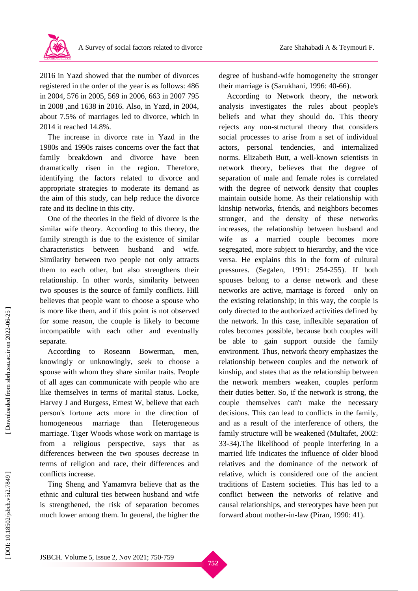

2016 in Yazd showed that the number of divorces registered in the order of the year is as follows: 486 in 2004 , 576 in 2005 , 569 in 2006 , 663 in 2007 795 in 2008 ,and 1638 in 2016 . Also, in Yazd, in 2004 , about 7.5% of marriages led to divorce, which in 2014 it reached 14.8%.

The increase in divorce rate in Yazd in the 1980s and 1990s raises concerns over the fact that family breakdown and divorce have been dramatically risen in the region. Therefore, identifying the factors related to divorce and appropriate strategies to moderate its demand as the aim of this study, can help reduce the divorce rate and its decline in this city.

One of the theories in the field of divorce is the similar wife theory. According to this theory, the family strength is due to the existence of similar characteristics between husband and wife. Similarity between two people not only attracts them to each other, but also strengthens their relationship . In other words, similarity between two spouses is the source of family conflicts. Hill believes that people want to choose a spouse who is more like them, and if this point is not observed for some reason, the couple is likely to become incompatible with each other and eventually separate.

According to Roseann Bowerman, men. knowingly or unknowingly, seek to choose a spouse with whom they share similar traits. People of all ages can communicate with people who are like themselves in terms of marital status. Locke, Harvey J and Burgess, Ernest W , believe that each person's fortune acts more in the direction of homogeneous marriage than Heterogeneous marriage . Tiger Woods whose work on marriage is from a religious perspective, says that as differences between the two spouses decrease in terms of religion and race, their differences and conflicts increase.

Ting Sheng and Yamamvra believe that as the ethnic and cultural ties between husband and wife is strengthened , the risk of separation becomes much lower among them. In general, the higher the

degree of husband -wife homogeneity the stronger their marriage is (Sarukhani, 1996: 40 -66).

According to Network theory, the network analysis investigates the rules about people's beliefs and what they should do. This theory rejects any non - structural theory that considers social processes to arise from a set of individual actors, personal tendencies, and internalized norms. Elizabeth Butt, a well -known scientists in network theory, believes that the degree of separation of male and female roles is correlated with the degree of network density that couples maintain outside home. As their relationship with kinship networks, friends, and neighbors becomes stronger , and the density of these networks increases, the relationship between husband and wife as a married couple becomes more segregated, more subject to hierarchy, and the vice versa. He explains this in the form of cultural pressures. (Segalen, 1991: 254 -255). If both spouses belong to a dense network and these networks are active , marriage is forced only on the existing relationship; i n this way, the couple is only directed to the authorized activities defined by the network. In this case, inflexible separation of roles becomes possible, because both couples will be able to gain support outside the family environment. Thus, network theory emphasizes the relationship between couples and the network of kinship, and states that as the relationship between the network members weaken , couples perform their duties better. So, if the network is strong, the couple themselves can't make the necessary decisions. This can lead to conflicts in the family , and as a result of the interference of others, the family structure will be weakened (Multafet, 2002: 33 -34) .The likelihood of people interfering in a married life indicates the influence of older blood relatives and the dominance of the network of relative, which is considered one of the ancient traditions of Eastern societies. This has led to a conflict between the networks of relative and causal relationships, and stereotypes have been put forward about mother -in -law (Piran, 1990: 41).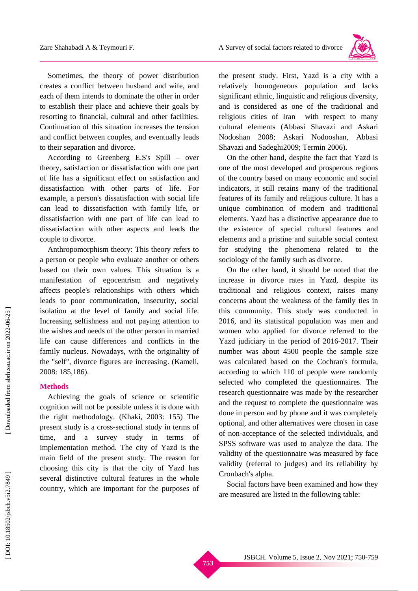

Sometimes, the theory of power distribution creates a conflict between husband and wife, and each of them intends to dominate the other in order to establish their place and achieve their goals by resorting to financial, cultural and other facilities . Continuation of this situation increases the tension and conflict between couples, and eventually leads to their separation and divorce.

According to Greenberg E.S's Spill – over theory, satisfaction or dissatisfaction with one part of life has a significant effect on satisfaction and dissatisfaction with other parts of life. For example, a person's dissatisfaction with social life can lead to dissatisfaction with family life, or dissatisfaction with one part of life can lead to dissatisfaction with other aspects and lead s the couple to divorce.

Anthropomorphism theory: This theory refers to a person or people who evaluate another or others based on their own values. This situation is a manifestation of egocentrism and negatively affects people's relationships with others which leads to poor communication, insecurity, social isolation at the level of family and social life. Increasing selfishness and not paying attention to the wishes and needs of the other person in married life can cause differences and conflicts in the family nucleus . Nowadays, with the originality of the "self", divorce figures are increasing . (Kameli, 2008: 185,186).

## **Methods**

Achieving the goals of science or scientific cognition will not be possible unless it is done with the right methodology. (Khaki, 2003: 155) The present study is a cross -sectional study in terms of time, and a survey study in terms of implementation method. The city of Yazd is the main field of the present study. The reason for choosing this city is that the city of Yazd has several distinctive cultural features in the whole country, which are important for the purposes of

the present study. First, Yazd is a city with a relatively homogeneous population and lacks significant ethnic, linguistic and religious diversity, and is considered as one of the traditional and religious cities of Iran with respect to many cultural elements (Abbasi Shavazi and Askari Nodoshan 2008; Askari Nodooshan, Abbasi Shavazi and Sadeghi2009; Termin 2006).

On the other hand, despite the fact that Yazd is one of the most developed and prosperous regions of the country based on many economic and social indicators , it still retains many of the traditional features of its family and religious culture. It has a unique combination of modern and traditional elements. Yazd has a distinctive appearance due to the existence of special cultural features and elements and a pristine and suitable social context for studying the phenomena related to the sociology of the family such as divorce.

On the other hand, it should be noted that the increase in divorce rates in Yazd, despite its traditional and religious context, raises many concerns about the weakness of the family ties in this community. This study was conducted in 2016, and its statistical population was men and women who applied for divorce referred to the Yazd judiciary in the period of 2016 -2017. Their number was about 4500 people the sample size was calculated based on the Cochran's formula, according to which 110 of people were randomly selected who completed the questionnaires. The research questionnaire was made by the researcher and the request to complete the questionnaire was done in person and by phone and it was completely optional , and other alternatives were chosen in case of non -acceptance of the selected individuals, and SPSS software was used to analyze the data. The validity of the questionnaire was measured by face validity (referral to judges) and its reliability by Cronbach's alpha.

Social factors have been examined and how they are measured are listed in the following table: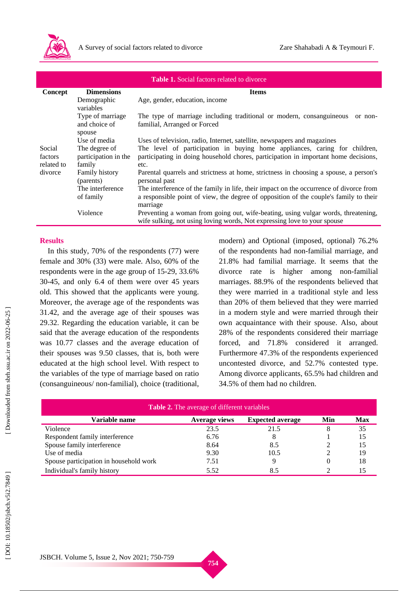

| <b>Table 1.</b> Social factors related to divorce |                                                 |                                                                                                                                                                                             |  |  |
|---------------------------------------------------|-------------------------------------------------|---------------------------------------------------------------------------------------------------------------------------------------------------------------------------------------------|--|--|
| Concept                                           | <b>Dimensions</b>                               | <b>Items</b>                                                                                                                                                                                |  |  |
|                                                   | Demographic<br>variables                        | Age, gender, education, income                                                                                                                                                              |  |  |
|                                                   | Type of marriage<br>and choice of<br>spouse     | The type of marriage including traditional or modern, consanguineous<br>or non-<br>familial, Arranged or Forced                                                                             |  |  |
|                                                   | Use of media                                    | Uses of television, radio, Internet, satellite, newspapers and magazines                                                                                                                    |  |  |
| Social<br>factors<br>related to                   | The degree of<br>participation in the<br>family | The level of participation in buying home appliances, caring for children,<br>participating in doing household chores, participation in important home decisions,<br>etc.                   |  |  |
| divorce                                           | Family history<br>(parents)                     | Parental quarrels and strictness at home, strictness in choosing a spouse, a person's<br>personal past                                                                                      |  |  |
|                                                   | The interference<br>of family                   | The interference of the family in life, their impact on the occurrence of divorce from<br>a responsible point of view, the degree of opposition of the couple's family to their<br>marriage |  |  |
|                                                   | Violence                                        | Preventing a woman from going out, wife-beating, using vulgar words, threatening,<br>wife sulking, not using loving words, Not expressing love to your spouse                               |  |  |

# **Results**

In this study, 70% of the respondents (77) were female and 30% (33) were male. Also, 60% of the respondents were in the age group of 15 -29, 33.6% 30 -45, and only 6.4 of them were over 45 years old. This showed that the applicants were young. Moreover , the average age of the respondents was 31.42, and the average age of their spouses was 29.32. Regarding the education variable, it can be said that the average education of the respondents was 10.77 classes and the average education of their spouses was 9.50 classes , that is, both were educated at the high school level . With respect to the variables of the type of marriage based on ratio (consanguineous/ non-familial), choice (traditional, modern) and Optional (imposed, optional) 76.2% of the respondents had non -familial marriage , and 21.8% had familial marriage. I t seems that the divorce rate is higher among non -familial marriages. 88.9% of the respondents believe d that they were married in a traditional style and less than 20% of them believed that they were married in a modern style and were married through their own acquaintance with their spouse. Also, about 28% of the respondents considered their marriage forced , and 71.8% considered it arranged . Furthermore 47.3% of the respondents experienced uncontested divorce , and 52.7% contested type. Among divorce applicants, 65.5% had children and 34.5% of them had no children.

| <b>Table 2.</b> The average of different variables |                      |                         |     |            |  |  |  |
|----------------------------------------------------|----------------------|-------------------------|-----|------------|--|--|--|
| Variable name                                      | <b>Average views</b> | <b>Expected average</b> | Min | <b>Max</b> |  |  |  |
| Violence                                           | 23.5                 | 21.5                    | 8   | 35         |  |  |  |
| Respondent family interference                     | 6.76                 |                         |     | 15         |  |  |  |
| Spouse family interference                         | 8.64                 | 8.5                     |     | 15         |  |  |  |
| Use of media                                       | 9.30                 | 10.5                    |     | 19         |  |  |  |
| Spouse participation in household work             | 7.51                 |                         |     | 18         |  |  |  |
| Individual's family history                        | 5.52                 | 8.5                     |     | 15         |  |  |  |

Downloaded from sbrh.ssu.ac.ir on 2022-06-25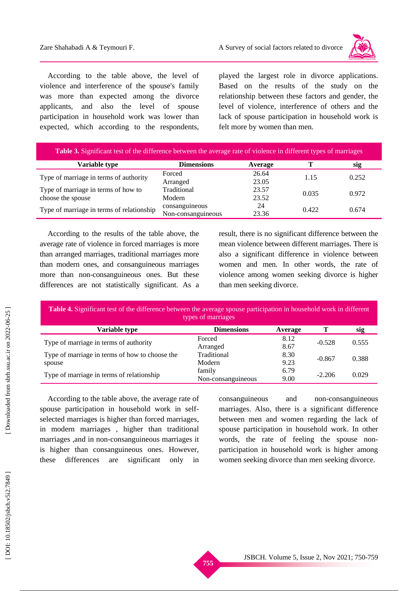

According to the table above, the level of violence and interference of the spouse's family was more than expected among the divorce applicants, and also the level of spouse participation in household work was lower than expected, which according to the respondents, played the largest role in divorce applications. Based on the results of the study on the relationship between these factors and gender, the level of violence, interference of others and the lack of spouse participation in household work is felt more by women than men.

| <b>Table 3.</b> Significant test of the difference between the average rate of violence in different types of marriages |                    |         |       |       |  |
|-------------------------------------------------------------------------------------------------------------------------|--------------------|---------|-------|-------|--|
| Variable type                                                                                                           | <b>Dimensions</b>  | Average |       | sig   |  |
| Type of marriage in terms of authority                                                                                  | Forced             | 26.64   | 1.15  | 0.252 |  |
|                                                                                                                         | Arranged           | 23.05   |       |       |  |
| Type of marriage in terms of how to                                                                                     | Traditional        | 23.57   | 0.035 | 0.972 |  |
| choose the spouse                                                                                                       | Modern             | 23.52   |       |       |  |
| Type of marriage in terms of relationship                                                                               | consanguineous     | 24      | 0.422 | 0.674 |  |
|                                                                                                                         | Non-consanguineous | 23.36   |       |       |  |

According to the results of the table above, the average rate of violence in forced marriages is more than arranged marriages , traditional marriages more than modern ones , and consanguineous marriages more than non -consanguineous ones . But these differences are not statistically significant. As a

result, there is no significant difference between the mean violence between different marriages. There is also a significant difference in violence between women and men. In other words, the rate of violence among women seeking divorce is higher than men seeking divorce.

**Table 4.** Significant test of the difference between the average spouse participation in household work in different types of marriages

| <b>Variable type</b>                           | <b>Dimensions</b>  | Average |          | sig   |
|------------------------------------------------|--------------------|---------|----------|-------|
|                                                | Forced             | 8.12    | $-0.528$ | 0.555 |
| Type of marriage in terms of authority         | Arranged           | 8.67    |          |       |
| Type of marriage in terms of how to choose the | Traditional        | 8.30    | $-0.867$ | 0.388 |
| spouse                                         | Modern             | 9.23    |          |       |
| Type of marriage in terms of relationship      | family             | 6.79    | $-2.206$ | 0.029 |
|                                                | Non-consanguineous | 9.00    |          |       |

According to the table above, the average rate of spouse participation in household work in selfselected marriages is higher than forced marriages, in modern marriages , higher than traditional marriages ,and in non -consanguineous marriages it is higher than consanguineous ones . However, these differences are significant only in

consanguineous and -consanguineous marriages. Also, there is a significant difference between men and women regarding the lack of spouse participation in household work . In other words, the rate of feeling the spouse non participation in household work is higher among women seeking divorce than men seeking divorce.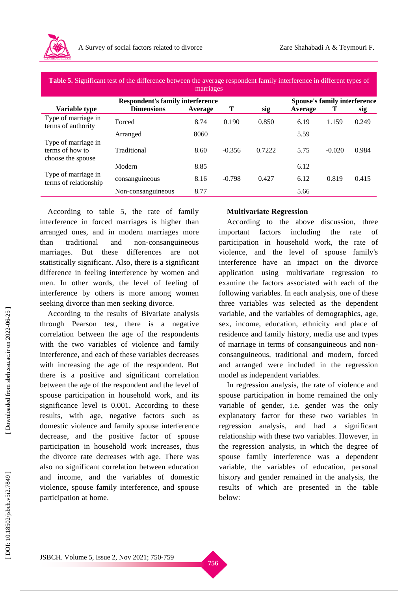

| Table 5. Significant test of the difference between the average respondent family interference in different types of |  |
|----------------------------------------------------------------------------------------------------------------------|--|
|                                                                                                                      |  |

| marriages                                                   |                    |         |          |        |                                     |          |            |
|-------------------------------------------------------------|--------------------|---------|----------|--------|-------------------------------------|----------|------------|
| <b>Respondent's family interference</b>                     |                    |         |          |        | <b>Spouse's family interference</b> |          |            |
| Variable type                                               | <b>Dimensions</b>  | Average | Т        | sig    | Average                             | Т        | <u>sig</u> |
| Type of marriage in<br>terms of authority                   | Forced             | 8.74    | 0.190    | 0.850  | 6.19                                | 1.159    | 0.249      |
|                                                             | Arranged           | 8060    |          |        | 5.59                                |          |            |
| Type of marriage in<br>terms of how to<br>choose the spouse | Traditional        | 8.60    | $-0.356$ | 0.7222 | 5.75                                | $-0.020$ | 0.984      |
|                                                             | Modern             | 8.85    |          |        | 6.12                                |          |            |
| Type of marriage in<br>terms of relationship                | consanguineous     | 8.16    | $-0.798$ | 0.427  | 6.12                                | 0.819    | 0.415      |
|                                                             | Non-consanguineous | 8.77    |          |        | 5.66                                |          |            |

According to table 5, the rate of family interference in forced marriages is higher than arranged ones, and in modern marriage s more than traditional and non-consanguineous marriages. But these differences are not statistically significant. Also, there is a significant difference in feeling interference by women and men. In other words, the level of feeling of interference by others is more among women seeking divorce than men seeking divorce.

According to the results of Bivariate analysis through Pearson test , there is a negative correlation between the age of the respondents with the two variables of violence and family interference , and each of these variables decreases with increasing the age of the respondent. But there is a positive and significant correlation between the age of the respondent and the level of spouse participation in household work , and its significance level is 0.001. According to these results, with age, negative factors such as domestic violence and family spouse interference decrease , and the positive factor of spouse participation in household work increases, thus the divorce rate decreases with age. Ther e was also no significant correlation between education and income, and the variables of domestic violence, spouse family interference, and spouse participation at home.

# **Multivariate Regression**

According to the above discussion , three important factors including the rate of participation in household work, the rate of violence, and the level of spouse family's interference have an impact on the divorce application using multivariate regression to examine the factors associated with each of the following variables. In each analysis, one of these three variables was selected as the dependent variable, and the variables of demographics, age, sex, income, education, ethnicity and place of residence and family history, media use and types of marriage in terms of consanguineous and non consanguineous, traditional and modern, forced and arranged were included in the regression model as independent variables.

In regression analysis, the rate of violence and spouse participation in home remained the only variable of gender, i.e. gender was the only explanatory factor for these two variables in regression analysis, and had a significant relationship with these two variables. However, in the regression analysis, in which the degree of spouse family interference was a dependent variable, the variables of education, personal history and gender remained in the analysis, the results of which are presented in the table below: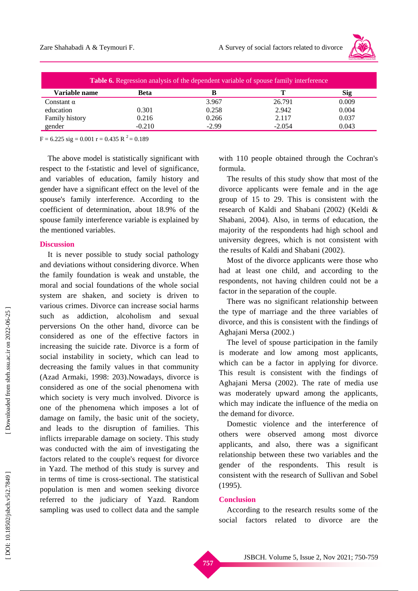

| <b>Table 6.</b> Regression analysis of the dependent variable of spouse family interference |             |         |          |       |  |
|---------------------------------------------------------------------------------------------|-------------|---------|----------|-------|--|
| Variable name                                                                               | <b>Beta</b> |         |          | Sig   |  |
| Constant $\alpha$                                                                           |             | 3.967   | 26.791   | 0.009 |  |
| education                                                                                   | 0.301       | 0.258   | 2.942    | 0.004 |  |
| Family history                                                                              | 0.216       | 0.266   | 2.117    | 0.037 |  |
| gender                                                                                      | $-0.210$    | $-2.99$ | $-2.054$ | 0.043 |  |

 $F = 6.225$  sig = 0.001 r = 0.435 R<sup>2</sup> = 0.189

The above model is statistically significant with respect to the f-statistic and level of significance, and variables of education, family history and gender have a significant effect on the level of the spouse's family interference. According to the coefficient of determination, about 18.9% of the spouse family interference variable is explained by the mentioned variables.

### **Discussion**

It is never possible to study social pathology and deviations without considering divorce. When the family foundation is weak and unstable, the moral and social foundations of the whole social system are shaken, and society is driven to various crimes. Divorce can increase social harms such as addiction, alcoholism and sexual perversions On the other hand, divorce can be considered as one of the effective factors in increasing the suicide rate. Divorce is a form of social instability in society, which can lead to decreasing the family values in that community (Azad Armaki, 1998: 203).Nowadays, divorce is considered as one of the social phenomena with which society is very much involved. Divorce is one of the phenomena which imposes a lot of damage on family, the basic unit of the society, and leads to the disruption of families. This inflicts irreparable damage on society. This study was conducted with the aim of investigating th e factors related to the couple's request for divorce in Yazd. The method of this study is survey and in terms of time is cross -sectional. The statistical population is men and women seeking divorce referred to the judiciary of Yazd. Random sampling was used to collect data and the sample with 110 people obtained through the Cochran's formula.

The results of this study show that most of the divorce applicants were female and in the age group of 15 to 29. This is consistent with the research of Kaldi and Shabani (2002) (Keldi & Shabani, 2004). Also, in terms of education, the majority of the respondents had high school and university degree s , which is not consistent with the results of Kaldi and Shabani (2002).

Most of the divorce applicants were those who ha d at least one child, and according to the respondents, not having children could not be a factor in the separation of the couple .

There was no significant relationship between the type of marriage and the three variables of divorce, and this is consistent with the findings of Aghajani Mersa (2002.)

The level of spouse participation in the family is moderate and low among most applicants, which can be a factor in applying for divorce. This result is consistent with the findings of Aghajani Mersa (2002). The rate of media use was moderately upward among the applicants, which may indicate the influence of the media on the demand for divorce.

Domestic violence and the interference of others were observed among most divorce applicants, and also, there was a significant relationship between these two variables and the gender of the respondents. This result is consistent with the research of Sullivan and Sobel (1995).

#### **Conclusion**

According to the research results some of the social factors related to divorce are th e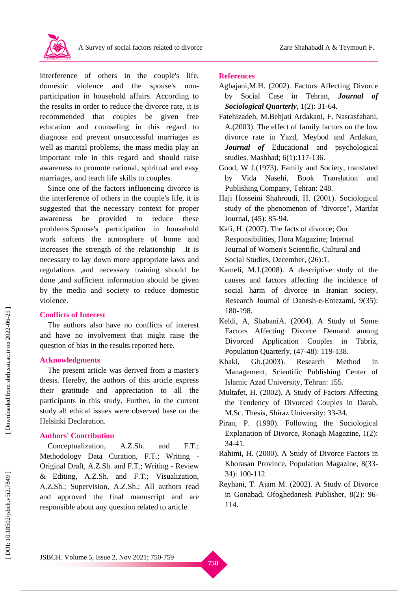

interference of others in the couple's life, domestic violence and the spouse's nonparticipation in household affairs. According to the results in order to reduce the divorce rate, it is recommended that couples be given free education and counseling in this regard to diagnose and prevent unsuccessful marriages as well as marital problems, the mass media play an important role in this regard and should raise awareness to promote rational, spiritual and easy marriages, and teach life skills to couples.

Since one of the factors influencing divorce is the interference of others in the couple's life, it is suggested that the necessary context for proper awareness be provided to reduce these problems .Spouse's participation in household work softens the atmosphere of home and increases the strength of the relationship .It is necessary to lay down more appropriate laws and regulations ,and necessary training should be done ,and sufficient information should be given by the media and society to reduce domestic violence.

## **Conflicts of Interest**

The authors also have no conflicts of interest and have no involvement that might raise the question of bias in the results reported here.

# **Acknowledgments**

The present article was derived from a master's thesis. Hereby, the authors of this article express their gratitude and appreciation to all the participants in this study. Further, in the current study all ethical issues were observed base on the Helsinki Declaration.

# **Authors' Contribution**

Conceptualization, A.Z.Sh. and  $F.T.;$ Methodology Data Curation, F.T.; Writing -Original Draft, A.Z.Sh. and F . T.; Writing - Review & Editing, A.Z.Sh. and F . T.; Visualization, A.Z.Sh.; Supervision, A.Z.Sh.; All authors read and approved the final manuscript and are responsible about any question related to article.

## **References**

- Aghajani,M.H. (2002). Factors Affecting Divorce by Social Case in Tehran, *Journal of Sociological Quarterly*, 1(2): 31 -64.
- Fatehizadeh, M.Behjati Ardakani, F. Nasrasfahani, A.(2003). The effect of family factors on the low divorce rate in Yazd, Meybod and Ardakan, *Journal of* Educational and psychological studies. Mashhad; 6(1):117 -136.
- Good, W J.(1973). Family and Society, translated by Vida Nasehi, Book Translation and Publishing Company, Tehran: 248.
- Haji Hosseini Shahroudi, H. (2001). Sociological study of the phenomenon of "divorce", Marifat Journal, (45): 85 -94.
- Kafi, H. (2007). The facts of divorce; Our Responsibilities, Hora Magazine; Internal Journal of Women's Scientific, Cultural and Social Studies, December, (26):1.
- Kameli, M.J.(2008). A descriptive study of the causes and factors affecting the incidence of social harm of divorce in Iranian society, Research Journal of Danesh - e -Entezami, 9(35): 180 -198.
- Keldi, A, ShabaniA. (2004). A Study of Some Factors Affecting Divorce Demand among Divorced Application Couples in Tabriz, Population Quarterly, (47 -48): 119 -138.
- Khaki, Gh.(2003). Research Method in Management, Scientific Publishing Center of Islamic Azad University, Tehran: 155.
- Multafet, H. (2002). A Study of Factors Affecting the Tendency of Divorced Couples in Darab, M.Sc. Thesis, Shiraz University: 33 -34.
- Piran, P. (1990). Following the Sociological Explanation of Divorce, Ronagh Magazine, 1(2): 34 -41.
- Rahimi, H. (2000). A Study of Divorce Factors in Khorasan Province, Population Magazine, 8(33 - 34): 100 -112.
- Reyhani, T. Ajam M. (2002). A Study of Divorce in Gonabad, Ofoghedanesh Publisher, 8(2): 96 - 114.